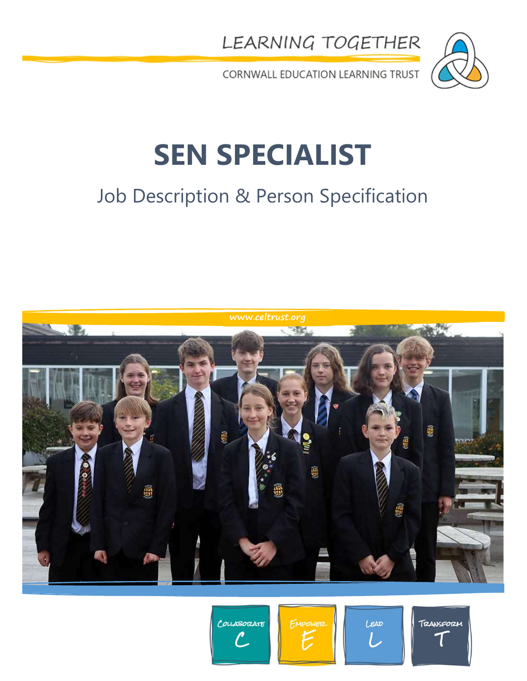LEARNING TOGETHER



CORNWALL EDUCATION LEARNING TRUST

# SEN SPECIALIST

### Job Description & Person Specification



COUABORATE

EMPOWER

LEAD

TRANSFORM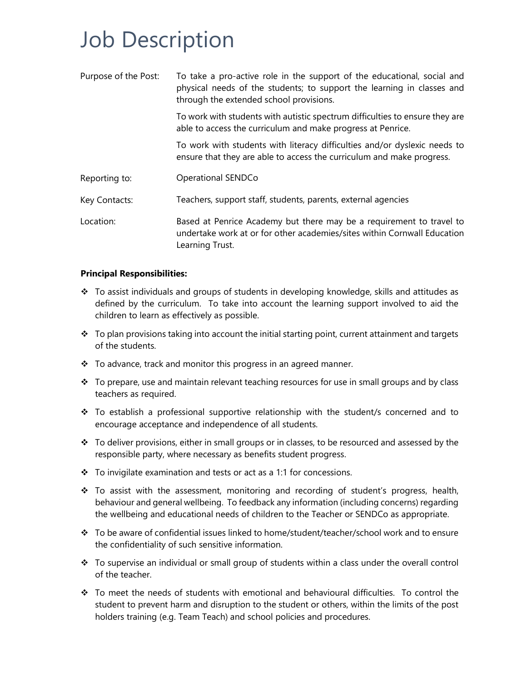### Job Description

| Purpose of the Post: | To take a pro-active role in the support of the educational, social and<br>physical needs of the students; to support the learning in classes and<br>through the extended school provisions. |
|----------------------|----------------------------------------------------------------------------------------------------------------------------------------------------------------------------------------------|
|                      | To work with students with autistic spectrum difficulties to ensure they are<br>able to access the curriculum and make progress at Penrice.                                                  |
|                      | To work with students with literacy difficulties and/or dyslexic needs to<br>ensure that they are able to access the curriculum and make progress.                                           |
| Reporting to:        | Operational SENDCo                                                                                                                                                                           |
| Key Contacts:        | Teachers, support staff, students, parents, external agencies                                                                                                                                |
| Location:            | Based at Penrice Academy but there may be a requirement to travel to<br>undertake work at or for other academies/sites within Cornwall Education<br>Learning Trust.                          |

#### Principal Responsibilities:

- $\div$  To assist individuals and groups of students in developing knowledge, skills and attitudes as defined by the curriculum. To take into account the learning support involved to aid the children to learn as effectively as possible.
- $\div$  To plan provisions taking into account the initial starting point, current attainment and targets of the students.
- \* To advance, track and monitor this progress in an agreed manner.
- $\cdot \cdot$  To prepare, use and maintain relevant teaching resources for use in small groups and by class teachers as required.
- $\div$  To establish a professional supportive relationship with the student/s concerned and to encourage acceptance and independence of all students.
- $\cdot \cdot$  To deliver provisions, either in small groups or in classes, to be resourced and assessed by the responsible party, where necessary as benefits student progress.
- $\div$  To invigilate examination and tests or act as a 1:1 for concessions.
- $\div$  To assist with the assessment, monitoring and recording of student's progress, health, behaviour and general wellbeing. To feedback any information (including concerns) regarding the wellbeing and educational needs of children to the Teacher or SENDCo as appropriate.
- $\cdot \cdot$  To be aware of confidential issues linked to home/student/teacher/school work and to ensure the confidentiality of such sensitive information.
- \* To supervise an individual or small group of students within a class under the overall control of the teacher.
- To meet the needs of students with emotional and behavioural difficulties. To control the student to prevent harm and disruption to the student or others, within the limits of the post holders training (e.g. Team Teach) and school policies and procedures.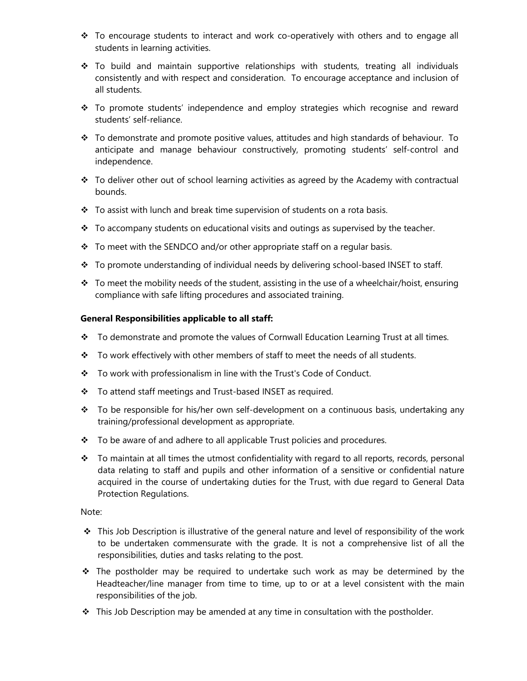- $\div$  To encourage students to interact and work co-operatively with others and to engage all students in learning activities.
- \* To build and maintain supportive relationships with students, treating all individuals consistently and with respect and consideration. To encourage acceptance and inclusion of all students.
- \* To promote students' independence and employ strategies which recognise and reward students' self-reliance.
- $\cdot \cdot$  To demonstrate and promote positive values, attitudes and high standards of behaviour. To anticipate and manage behaviour constructively, promoting students' self-control and independence.
- \* To deliver other out of school learning activities as agreed by the Academy with contractual bounds.
- \* To assist with lunch and break time supervision of students on a rota basis.
- $\cdot \cdot$  To accompany students on educational visits and outings as supervised by the teacher.
- $\cdot \cdot$  To meet with the SENDCO and/or other appropriate staff on a regular basis.
- \* To promote understanding of individual needs by delivering school-based INSET to staff.
- \* To meet the mobility needs of the student, assisting in the use of a wheelchair/hoist, ensuring compliance with safe lifting procedures and associated training.

#### General Responsibilities applicable to all staff:

- \* To demonstrate and promote the values of Cornwall Education Learning Trust at all times.
- \* To work effectively with other members of staff to meet the needs of all students.
- \* To work with professionalism in line with the Trust's Code of Conduct.
- \* To attend staff meetings and Trust-based INSET as required.
- \* To be responsible for his/her own self-development on a continuous basis, undertaking any training/professional development as appropriate.
- \* To be aware of and adhere to all applicable Trust policies and procedures.
- \* To maintain at all times the utmost confidentiality with regard to all reports, records, personal data relating to staff and pupils and other information of a sensitive or confidential nature acquired in the course of undertaking duties for the Trust, with due regard to General Data Protection Regulations.

#### Note:

- $\cdot \cdot$  This Job Description is illustrative of the general nature and level of responsibility of the work to be undertaken commensurate with the grade. It is not a comprehensive list of all the responsibilities, duties and tasks relating to the post.
- $\div$  The postholder may be required to undertake such work as may be determined by the Headteacher/line manager from time to time, up to or at a level consistent with the main responsibilities of the job.
- $\cdot \cdot$  This Job Description may be amended at any time in consultation with the postholder.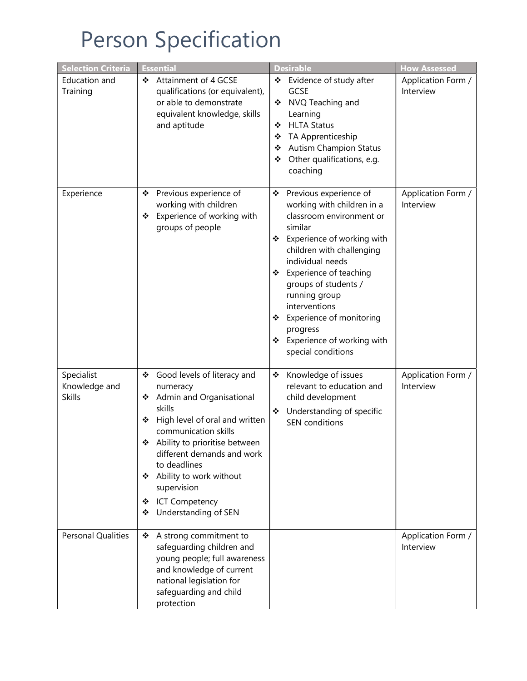## Person Specification

| <b>Selection Criteria</b>                    | <b>Essential</b>                                                                                                                                                                                                                                                                                                                                  | <b>Desirable</b>                                                                                                                                                                                                                                                                                                                                                                    | <b>How Assessed</b>             |
|----------------------------------------------|---------------------------------------------------------------------------------------------------------------------------------------------------------------------------------------------------------------------------------------------------------------------------------------------------------------------------------------------------|-------------------------------------------------------------------------------------------------------------------------------------------------------------------------------------------------------------------------------------------------------------------------------------------------------------------------------------------------------------------------------------|---------------------------------|
| Education and<br>Training                    | Attainment of 4 GCSE<br>❖<br>qualifications (or equivalent),<br>or able to demonstrate<br>equivalent knowledge, skills<br>and aptitude                                                                                                                                                                                                            | ❖ Evidence of study after<br><b>GCSE</b><br>NVQ Teaching and<br>❖<br>Learning<br><b>HLTA Status</b><br>❖<br>TA Apprenticeship<br>❖<br><b>Autism Champion Status</b><br>❖<br>Other qualifications, e.g.<br>❖<br>coaching                                                                                                                                                             | Application Form /<br>Interview |
| Experience                                   | Previous experience of<br>❖<br>working with children<br>Experience of working with<br>❖<br>groups of people                                                                                                                                                                                                                                       | ❖<br>Previous experience of<br>working with children in a<br>classroom environment or<br>similar<br>Experience of working with<br>❖<br>children with challenging<br>individual needs<br>Experience of teaching<br>❖<br>groups of students /<br>running group<br>interventions<br>Experience of monitoring<br>❖<br>progress<br>Experience of working with<br>❖<br>special conditions | Application Form /<br>Interview |
| Specialist<br>Knowledge and<br><b>Skills</b> | ❖ Good levels of literacy and<br>numeracy<br>Admin and Organisational<br>❖<br>skills<br>High level of oral and written<br>❖<br>communication skills<br>Ability to prioritise between<br>❖<br>different demands and work<br>to deadlines<br>Ability to work without<br>❖<br>supervision<br><b>ICT Competency</b><br>❖<br>Understanding of SEN<br>❖ | ❖<br>Knowledge of issues<br>relevant to education and<br>child development<br>Understanding of specific<br>❖<br><b>SEN</b> conditions                                                                                                                                                                                                                                               | Application Form /<br>Interview |
| <b>Personal Qualities</b>                    | A strong commitment to<br>❖<br>safeguarding children and<br>young people; full awareness<br>and knowledge of current<br>national legislation for<br>safeguarding and child<br>protection                                                                                                                                                          |                                                                                                                                                                                                                                                                                                                                                                                     | Application Form /<br>Interview |